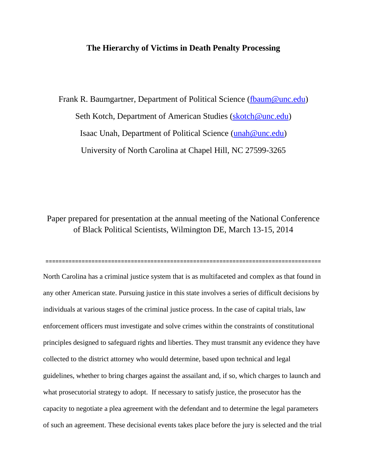## **The Hierarchy of Victims in Death Penalty Processing**

Frank R. Baumgartner, Department of Political Science [\(fbaum@unc.edu\)](mailto:fbaum@unc.edu) Seth Kotch, Department of American Studies [\(skotch@unc.edu\)](mailto:skotch@unc.edu) Isaac Unah, Department of Political Science [\(unah@unc.edu\)](mailto:unah@unc.edu) University of North Carolina at Chapel Hill, NC 27599-3265

Paper prepared for presentation at the annual meeting of the National Conference of Black Political Scientists, Wilmington DE, March 13-15, 2014

==================================================================================== North Carolina has a criminal justice system that is as multifaceted and complex as that found in any other American state. Pursuing justice in this state involves a series of difficult decisions by individuals at various stages of the criminal justice process. In the case of capital trials, law enforcement officers must investigate and solve crimes within the constraints of constitutional principles designed to safeguard rights and liberties. They must transmit any evidence they have collected to the district attorney who would determine, based upon technical and legal guidelines, whether to bring charges against the assailant and, if so, which charges to launch and what prosecutorial strategy to adopt. If necessary to satisfy justice, the prosecutor has the capacity to negotiate a plea agreement with the defendant and to determine the legal parameters of such an agreement. These decisional events takes place before the jury is selected and the trial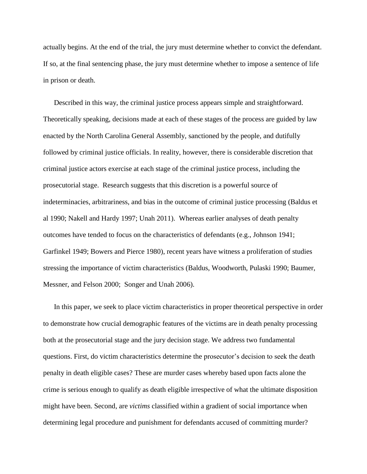actually begins. At the end of the trial, the jury must determine whether to convict the defendant. If so, at the final sentencing phase, the jury must determine whether to impose a sentence of life in prison or death.

Described in this way, the criminal justice process appears simple and straightforward. Theoretically speaking, decisions made at each of these stages of the process are guided by law enacted by the North Carolina General Assembly, sanctioned by the people, and dutifully followed by criminal justice officials. In reality, however, there is considerable discretion that criminal justice actors exercise at each stage of the criminal justice process, including the prosecutorial stage. Research suggests that this discretion is a powerful source of indeterminacies, arbitrariness, and bias in the outcome of criminal justice processing (Baldus et al 1990; Nakell and Hardy 1997; Unah 2011). Whereas earlier analyses of death penalty outcomes have tended to focus on the characteristics of defendants (e.g., Johnson 1941; Garfinkel 1949; Bowers and Pierce 1980), recent years have witness a proliferation of studies stressing the importance of victim characteristics (Baldus, Woodworth, Pulaski 1990; Baumer, Messner, and Felson 2000; Songer and Unah 2006).

In this paper, we seek to place victim characteristics in proper theoretical perspective in order to demonstrate how crucial demographic features of the victims are in death penalty processing both at the prosecutorial stage and the jury decision stage. We address two fundamental questions. First, do victim characteristics determine the prosecutor's decision to seek the death penalty in death eligible cases? These are murder cases whereby based upon facts alone the crime is serious enough to qualify as death eligible irrespective of what the ultimate disposition might have been. Second, are *victims* classified within a gradient of social importance when determining legal procedure and punishment for defendants accused of committing murder?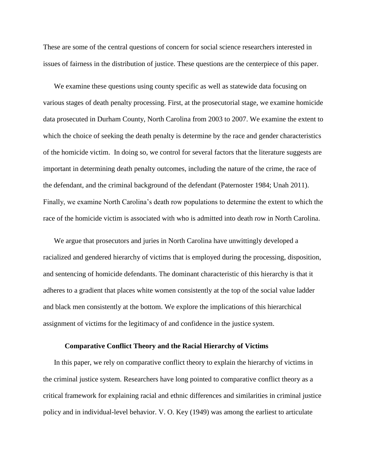These are some of the central questions of concern for social science researchers interested in issues of fairness in the distribution of justice. These questions are the centerpiece of this paper.

We examine these questions using county specific as well as statewide data focusing on various stages of death penalty processing. First, at the prosecutorial stage, we examine homicide data prosecuted in Durham County, North Carolina from 2003 to 2007. We examine the extent to which the choice of seeking the death penalty is determine by the race and gender characteristics of the homicide victim. In doing so, we control for several factors that the literature suggests are important in determining death penalty outcomes, including the nature of the crime, the race of the defendant, and the criminal background of the defendant (Paternoster 1984; Unah 2011). Finally, we examine North Carolina's death row populations to determine the extent to which the race of the homicide victim is associated with who is admitted into death row in North Carolina.

We argue that prosecutors and juries in North Carolina have unwittingly developed a racialized and gendered hierarchy of victims that is employed during the processing, disposition, and sentencing of homicide defendants. The dominant characteristic of this hierarchy is that it adheres to a gradient that places white women consistently at the top of the social value ladder and black men consistently at the bottom. We explore the implications of this hierarchical assignment of victims for the legitimacy of and confidence in the justice system.

#### **Comparative Conflict Theory and the Racial Hierarchy of Victims**

In this paper, we rely on comparative conflict theory to explain the hierarchy of victims in the criminal justice system. Researchers have long pointed to comparative conflict theory as a critical framework for explaining racial and ethnic differences and similarities in criminal justice policy and in individual-level behavior. V. O. Key (1949) was among the earliest to articulate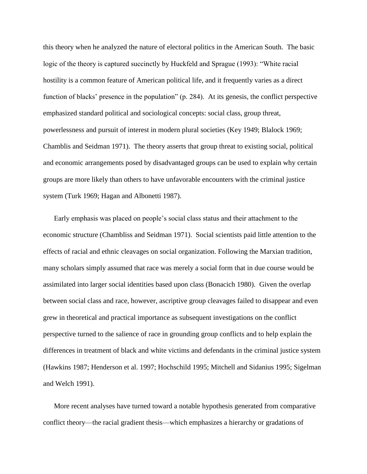this theory when he analyzed the nature of electoral politics in the American South. The basic logic of the theory is captured succinctly by Huckfeld and Sprague (1993): "White racial hostility is a common feature of American political life, and it frequently varies as a direct function of blacks' presence in the population" (p. 284). At its genesis, the conflict perspective emphasized standard political and sociological concepts: social class, group threat, powerlessness and pursuit of interest in modern plural societies (Key 1949; Blalock 1969; Chamblis and Seidman 1971). The theory asserts that group threat to existing social, political and economic arrangements posed by disadvantaged groups can be used to explain why certain groups are more likely than others to have unfavorable encounters with the criminal justice system (Turk 1969; Hagan and Albonetti 1987).

Early emphasis was placed on people's social class status and their attachment to the economic structure (Chambliss and Seidman 1971). Social scientists paid little attention to the effects of racial and ethnic cleavages on social organization. Following the Marxian tradition, many scholars simply assumed that race was merely a social form that in due course would be assimilated into larger social identities based upon class (Bonacich 1980). Given the overlap between social class and race, however, ascriptive group cleavages failed to disappear and even grew in theoretical and practical importance as subsequent investigations on the conflict perspective turned to the salience of race in grounding group conflicts and to help explain the differences in treatment of black and white victims and defendants in the criminal justice system (Hawkins 1987; Henderson et al. 1997; Hochschild 1995; Mitchell and Sidanius 1995; Sigelman and Welch 1991).

More recent analyses have turned toward a notable hypothesis generated from comparative conflict theory—the racial gradient thesis—which emphasizes a hierarchy or gradations of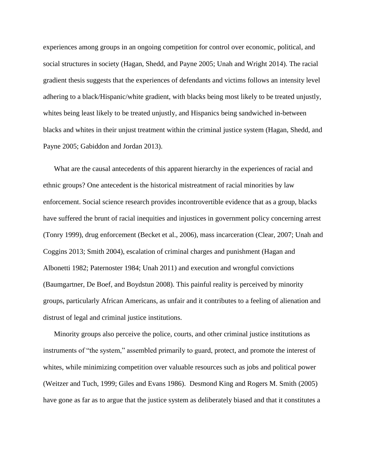experiences among groups in an ongoing competition for control over economic, political, and social structures in society (Hagan, Shedd, and Payne 2005; Unah and Wright 2014). The racial gradient thesis suggests that the experiences of defendants and victims follows an intensity level adhering to a black/Hispanic/white gradient, with blacks being most likely to be treated unjustly, whites being least likely to be treated unjustly, and Hispanics being sandwiched in-between blacks and whites in their unjust treatment within the criminal justice system (Hagan, Shedd, and Payne 2005; Gabiddon and Jordan 2013).

What are the causal antecedents of this apparent hierarchy in the experiences of racial and ethnic groups? One antecedent is the historical mistreatment of racial minorities by law enforcement. Social science research provides incontrovertible evidence that as a group, blacks have suffered the brunt of racial inequities and injustices in government policy concerning arrest (Tonry 1999), drug enforcement (Becket et al., 2006), mass incarceration (Clear, 2007; Unah and Coggins 2013; Smith 2004), escalation of criminal charges and punishment (Hagan and Albonetti 1982; Paternoster 1984; Unah 2011) and execution and wrongful convictions (Baumgartner, De Boef, and Boydstun 2008). This painful reality is perceived by minority groups, particularly African Americans, as unfair and it contributes to a feeling of alienation and distrust of legal and criminal justice institutions.

Minority groups also perceive the police, courts, and other criminal justice institutions as instruments of "the system," assembled primarily to guard, protect, and promote the interest of whites, while minimizing competition over valuable resources such as jobs and political power (Weitzer and Tuch, 1999; Giles and Evans 1986). Desmond King and Rogers M. Smith (2005) have gone as far as to argue that the justice system as deliberately biased and that it constitutes a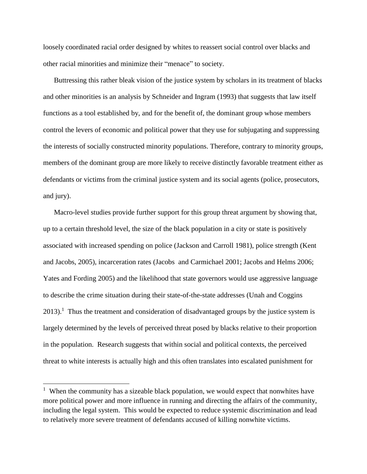loosely coordinated racial order designed by whites to reassert social control over blacks and other racial minorities and minimize their "menace" to society.

Buttressing this rather bleak vision of the justice system by scholars in its treatment of blacks and other minorities is an analysis by Schneider and Ingram (1993) that suggests that law itself functions as a tool established by, and for the benefit of, the dominant group whose members control the levers of economic and political power that they use for subjugating and suppressing the interests of socially constructed minority populations. Therefore, contrary to minority groups, members of the dominant group are more likely to receive distinctly favorable treatment either as defendants or victims from the criminal justice system and its social agents (police, prosecutors, and jury).

Macro-level studies provide further support for this group threat argument by showing that, up to a certain threshold level, the size of the black population in a city or state is positively associated with increased spending on police (Jackson and Carroll 1981), police strength (Kent and Jacobs, 2005), incarceration rates (Jacobs and Carmichael 2001; Jacobs and Helms 2006; Yates and Fording 2005) and the likelihood that state governors would use aggressive language to describe the crime situation during their state-of-the-state addresses (Unah and Coggins  $2013$ ).<sup>1</sup> Thus the treatment and consideration of disadvantaged groups by the justice system is largely determined by the levels of perceived threat posed by blacks relative to their proportion in the population. Research suggests that within social and political contexts, the perceived threat to white interests is actually high and this often translates into escalated punishment for

 $\overline{\phantom{a}}$ 

<sup>&</sup>lt;sup>1</sup> When the community has a sizeable black population, we would expect that nonwhites have more political power and more influence in running and directing the affairs of the community, including the legal system. This would be expected to reduce systemic discrimination and lead to relatively more severe treatment of defendants accused of killing nonwhite victims.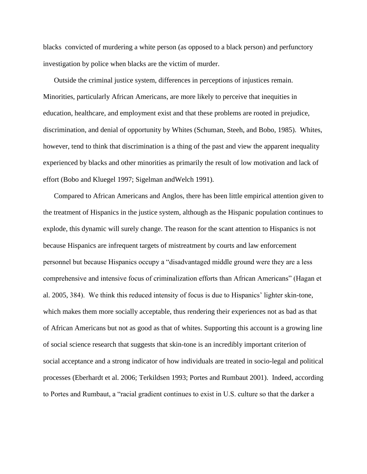blacks convicted of murdering a white person (as opposed to a black person) and perfunctory investigation by police when blacks are the victim of murder.

Outside the criminal justice system, differences in perceptions of injustices remain. Minorities, particularly African Americans, are more likely to perceive that inequities in education, healthcare, and employment exist and that these problems are rooted in prejudice, discrimination, and denial of opportunity by Whites (Schuman, Steeh, and Bobo, 1985). Whites, however, tend to think that discrimination is a thing of the past and view the apparent inequality experienced by blacks and other minorities as primarily the result of low motivation and lack of effort (Bobo and Kluegel 1997; Sigelman andWelch 1991).

Compared to African Americans and Anglos, there has been little empirical attention given to the treatment of Hispanics in the justice system, although as the Hispanic population continues to explode, this dynamic will surely change. The reason for the scant attention to Hispanics is not because Hispanics are infrequent targets of mistreatment by courts and law enforcement personnel but because Hispanics occupy a "disadvantaged middle ground were they are a less comprehensive and intensive focus of criminalization efforts than African Americans" (Hagan et al. 2005, 384). We think this reduced intensity of focus is due to Hispanics' lighter skin-tone, which makes them more socially acceptable, thus rendering their experiences not as bad as that of African Americans but not as good as that of whites. Supporting this account is a growing line of social science research that suggests that skin-tone is an incredibly important criterion of social acceptance and a strong indicator of how individuals are treated in socio-legal and political processes (Eberhardt et al. 2006; Terkildsen 1993; Portes and Rumbaut 2001). Indeed, according to Portes and Rumbaut, a "racial gradient continues to exist in U.S. culture so that the darker a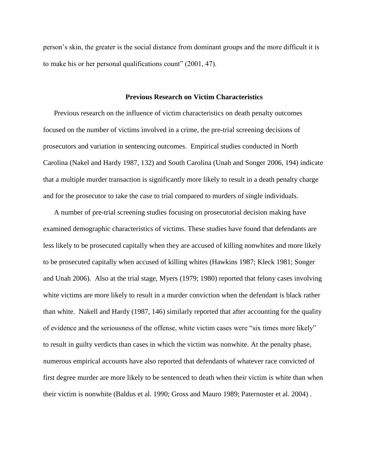person's skin, the greater is the social distance from dominant groups and the more difficult it is to make his or her personal qualifications count" (2001, 47).

#### **Previous Research on Victim Characteristics**

Previous research on the influence of victim characteristics on death penalty outcomes focused on the number of victims involved in a crime, the pre-trial screening decisions of prosecutors and variation in sentencing outcomes. Empirical studies conducted in North Carolina (Nakel and Hardy 1987, 132) and South Carolina (Unah and Songer 2006, 194) indicate that a multiple murder transaction is significantly more likely to result in a death penalty charge and for the prosecutor to take the case to trial compared to murders of single individuals.

A number of pre-trial screening studies focusing on prosecutorial decision making have examined demographic characteristics of victims. These studies have found that defendants are less likely to be prosecuted capitally when they are accused of killing nonwhites and more likely to be prosecuted capitally when accused of killing whites (Hawkins 1987; Kleck 1981; Songer and Unah 2006). Also at the trial stage, Myers (1979; 1980) reported that felony cases involving white victims are more likely to result in a murder conviction when the defendant is black rather than white. Nakell and Hardy (1987, 146) similarly reported that after accounting for the quality of evidence and the seriousness of the offense, white victim cases were "six times more likely" to result in guilty verdicts than cases in which the victim was nonwhite. At the penalty phase, numerous empirical accounts have also reported that defendants of whatever race convicted of first degree murder are more likely to be sentenced to death when their victim is white than when their victim is nonwhite (Baldus et al. 1990; Gross and Mauro 1989; Paternoster et al. 2004) .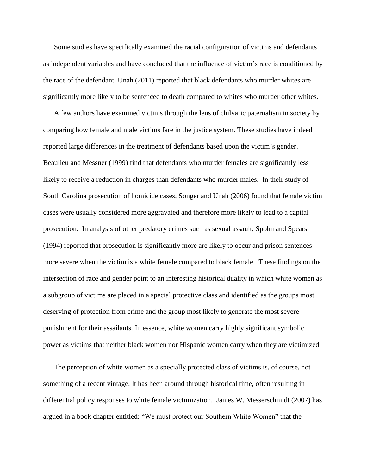Some studies have specifically examined the racial configuration of victims and defendants as independent variables and have concluded that the influence of victim's race is conditioned by the race of the defendant. Unah (2011) reported that black defendants who murder whites are significantly more likely to be sentenced to death compared to whites who murder other whites.

A few authors have examined victims through the lens of chilvaric paternalism in society by comparing how female and male victims fare in the justice system. These studies have indeed reported large differences in the treatment of defendants based upon the victim's gender. Beaulieu and Messner (1999) find that defendants who murder females are significantly less likely to receive a reduction in charges than defendants who murder males. In their study of South Carolina prosecution of homicide cases, Songer and Unah (2006) found that female victim cases were usually considered more aggravated and therefore more likely to lead to a capital prosecution. In analysis of other predatory crimes such as sexual assault, Spohn and Spears (1994) reported that prosecution is significantly more are likely to occur and prison sentences more severe when the victim is a white female compared to black female. These findings on the intersection of race and gender point to an interesting historical duality in which white women as a subgroup of victims are placed in a special protective class and identified as the groups most deserving of protection from crime and the group most likely to generate the most severe punishment for their assailants. In essence, white women carry highly significant symbolic power as victims that neither black women nor Hispanic women carry when they are victimized.

The perception of white women as a specially protected class of victims is, of course, not something of a recent vintage. It has been around through historical time, often resulting in differential policy responses to white female victimization. James W. Messerschmidt (2007) has argued in a book chapter entitled: "We must protect our Southern White Women" that the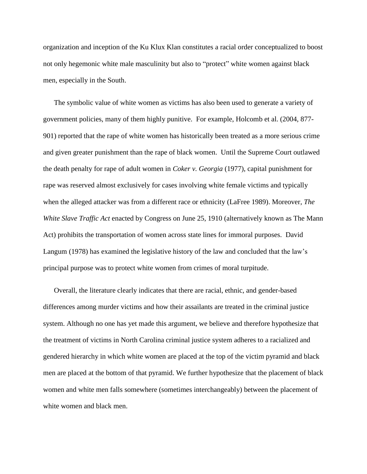organization and inception of the Ku Klux Klan constitutes a racial order conceptualized to boost not only hegemonic white male masculinity but also to "protect" white women against black men, especially in the South.

The symbolic value of white women as victims has also been used to generate a variety of government policies, many of them highly punitive. For example, Holcomb et al. (2004, 877- 901) reported that the rape of white women has historically been treated as a more serious crime and given greater punishment than the rape of black women. Until the Supreme Court outlawed the death penalty for rape of adult women in *Coker v. Georgia* (1977), capital punishment for rape was reserved almost exclusively for cases involving white female victims and typically when the alleged attacker was from a different race or ethnicity (LaFree 1989). Moreover, *The White Slave Traffic Act* enacted by Congress on June 25, 1910 (alternatively known as The Mann Act) prohibits the transportation of women across state lines for immoral purposes. David Langum (1978) has examined the legislative history of the law and concluded that the law's principal purpose was to protect white women from crimes of moral turpitude.

Overall, the literature clearly indicates that there are racial, ethnic, and gender-based differences among murder victims and how their assailants are treated in the criminal justice system. Although no one has yet made this argument, we believe and therefore hypothesize that the treatment of victims in North Carolina criminal justice system adheres to a racialized and gendered hierarchy in which white women are placed at the top of the victim pyramid and black men are placed at the bottom of that pyramid. We further hypothesize that the placement of black women and white men falls somewhere (sometimes interchangeably) between the placement of white women and black men.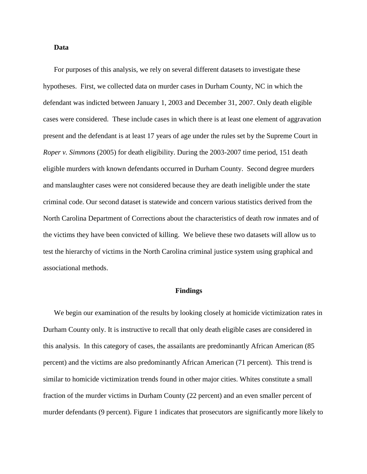#### **Data**

For purposes of this analysis, we rely on several different datasets to investigate these hypotheses. First, we collected data on murder cases in Durham County, NC in which the defendant was indicted between January 1, 2003 and December 31, 2007. Only death eligible cases were considered. These include cases in which there is at least one element of aggravation present and the defendant is at least 17 years of age under the rules set by the Supreme Court in *Roper v. Simmons* (2005) for death eligibility. During the 2003-2007 time period, 151 death eligible murders with known defendants occurred in Durham County. Second degree murders and manslaughter cases were not considered because they are death ineligible under the state criminal code. Our second dataset is statewide and concern various statistics derived from the North Carolina Department of Corrections about the characteristics of death row inmates and of the victims they have been convicted of killing. We believe these two datasets will allow us to test the hierarchy of victims in the North Carolina criminal justice system using graphical and associational methods.

#### **Findings**

We begin our examination of the results by looking closely at homicide victimization rates in Durham County only. It is instructive to recall that only death eligible cases are considered in this analysis. In this category of cases, the assailants are predominantly African American (85 percent) and the victims are also predominantly African American (71 percent). This trend is similar to homicide victimization trends found in other major cities. Whites constitute a small fraction of the murder victims in Durham County (22 percent) and an even smaller percent of murder defendants (9 percent). Figure 1 indicates that prosecutors are significantly more likely to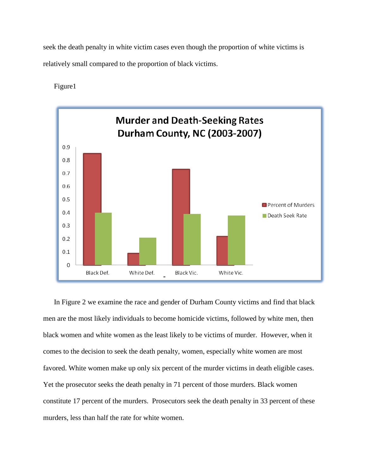seek the death penalty in white victim cases even though the proportion of white victims is relatively small compared to the proportion of black victims.

Figure1



In Figure 2 we examine the race and gender of Durham County victims and find that black men are the most likely individuals to become homicide victims, followed by white men, then black women and white women as the least likely to be victims of murder. However, when it comes to the decision to seek the death penalty, women, especially white women are most favored. White women make up only six percent of the murder victims in death eligible cases. Yet the prosecutor seeks the death penalty in 71 percent of those murders. Black women constitute 17 percent of the murders. Prosecutors seek the death penalty in 33 percent of these murders, less than half the rate for white women.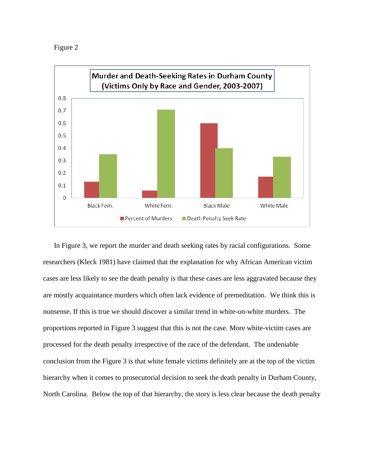



In Figure 3, we report the murder and death seeking rates by racial configurations. Some researchers (Kleck 1981) have claimed that the explanation for why African American victim cases are less likely to see the death penalty is that these cases are less aggravated because they are mostly acquaintance murders which often lack evidence of premeditation. We think this is nonsense. If this is true we should discover a similar trend in white-on-white murders. The proportions reported in Figure 3 suggest that this is not the case. More white-victim cases are processed for the death penalty irrespective of the race of the defendant. The undeniable conclusion from the Figure 3 is that white female victims definitely are at the top of the victim hierarchy when it comes to prosecutorial decision to seek the death penalty in Durham County, North Carolina. Below the top of that hierarchy, the story is less clear because the death penalty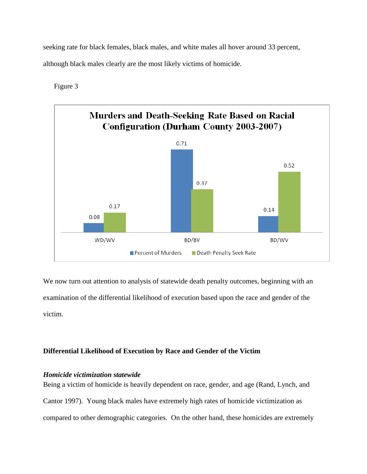seeking rate for black females, black males, and white males all hover around 33 percent, although black males clearly are the most likely victims of homicide.

Figure 3



We now turn out attention to analysis of statewide death penalty outcomes, beginning with an examination of the differential likelihood of execution based upon the race and gender of the victim.

# **Differential Likelihood of Execution by Race and Gender of the Victim**

# *Homicide victimization statewide*

Being a victim of homicide is heavily dependent on race, gender, and age (Rand, Lynch, and Cantor 1997). Young black males have extremely high rates of homicide victimization as compared to other demographic categories. On the other hand, these homicides are extremely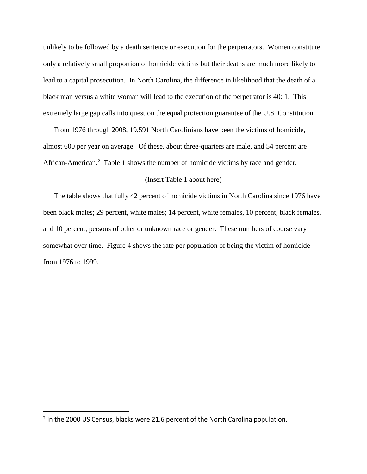unlikely to be followed by a death sentence or execution for the perpetrators. Women constitute only a relatively small proportion of homicide victims but their deaths are much more likely to lead to a capital prosecution. In North Carolina, the difference in likelihood that the death of a black man versus a white woman will lead to the execution of the perpetrator is 40: 1. This extremely large gap calls into question the equal protection guarantee of the U.S. Constitution.

From 1976 through 2008, 19,591 North Carolinians have been the victims of homicide, almost 600 per year on average. Of these, about three-quarters are male, and 54 percent are African-American.<sup>2</sup> Table 1 shows the number of homicide victims by race and gender.

#### (Insert Table 1 about here)

The table shows that fully 42 percent of homicide victims in North Carolina since 1976 have been black males; 29 percent, white males; 14 percent, white females, 10 percent, black females, and 10 percent, persons of other or unknown race or gender. These numbers of course vary somewhat over time. Figure 4 shows the rate per population of being the victim of homicide from 1976 to 1999.

 $\overline{\phantom{a}}$ 

<sup>&</sup>lt;sup>2</sup> In the 2000 US Census, blacks were 21.6 percent of the North Carolina population.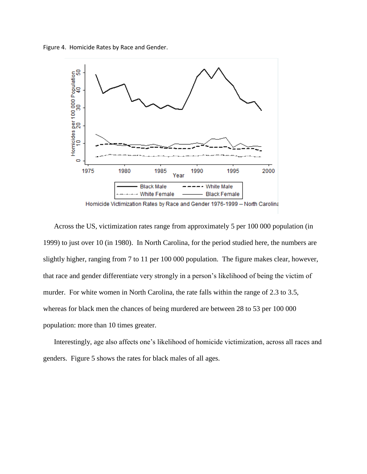Figure 4. Homicide Rates by Race and Gender.



Across the US, victimization rates range from approximately 5 per 100 000 population (in 1999) to just over 10 (in 1980). In North Carolina, for the period studied here, the numbers are slightly higher, ranging from 7 to 11 per 100 000 population. The figure makes clear, however, that race and gender differentiate very strongly in a person's likelihood of being the victim of murder. For white women in North Carolina, the rate falls within the range of 2.3 to 3.5, whereas for black men the chances of being murdered are between 28 to 53 per 100 000 population: more than 10 times greater.

Interestingly, age also affects one's likelihood of homicide victimization, across all races and genders. Figure 5 shows the rates for black males of all ages.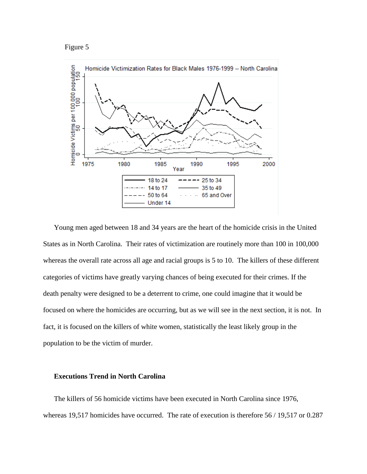#### Figure 5



Young men aged between 18 and 34 years are the heart of the homicide crisis in the United States as in North Carolina. Their rates of victimization are routinely more than 100 in 100,000 whereas the overall rate across all age and racial groups is 5 to 10. The killers of these different categories of victims have greatly varying chances of being executed for their crimes. If the death penalty were designed to be a deterrent to crime, one could imagine that it would be focused on where the homicides are occurring, but as we will see in the next section, it is not. In fact, it is focused on the killers of white women, statistically the least likely group in the population to be the victim of murder.

## **Executions Trend in North Carolina**

The killers of 56 homicide victims have been executed in North Carolina since 1976, whereas 19,517 homicides have occurred. The rate of execution is therefore 56 / 19,517 or 0.287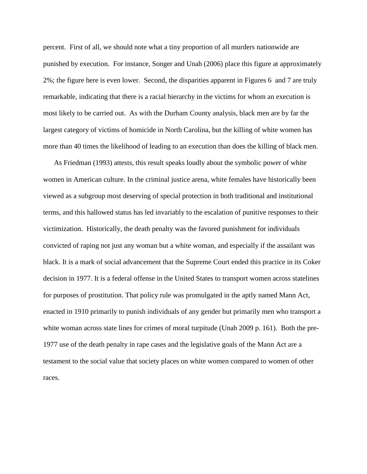percent. First of all, we should note what a tiny proportion of all murders nationwide are punished by execution. For instance, Songer and Unah (2006) place this figure at approximately 2%; the figure here is even lower. Second, the disparities apparent in Figures 6 and 7 are truly remarkable, indicating that there is a racial hierarchy in the victims for whom an execution is most likely to be carried out. As with the Durham County analysis, black men are by far the largest category of victims of homicide in North Carolina, but the killing of white women has more than 40 times the likelihood of leading to an execution than does the killing of black men.

As Friedman (1993) attests, this result speaks loudly about the symbolic power of white women in American culture. In the criminal justice arena, white females have historically been viewed as a subgroup most deserving of special protection in both traditional and institutional terms, and this hallowed status has led invariably to the escalation of punitive responses to their victimization. Historically, the death penalty was the favored punishment for individuals convicted of raping not just any woman but a white woman, and especially if the assailant was black. It is a mark of social advancement that the Supreme Court ended this practice in its Coker decision in 1977. It is a federal offense in the United States to transport women across statelines for purposes of prostitution. That policy rule was promulgated in the aptly named Mann Act, enacted in 1910 primarily to punish individuals of any gender but primarily men who transport a white woman across state lines for crimes of moral turpitude (Unah 2009 p. 161). Both the pre-1977 use of the death penalty in rape cases and the legislative goals of the Mann Act are a testament to the social value that society places on white women compared to women of other races.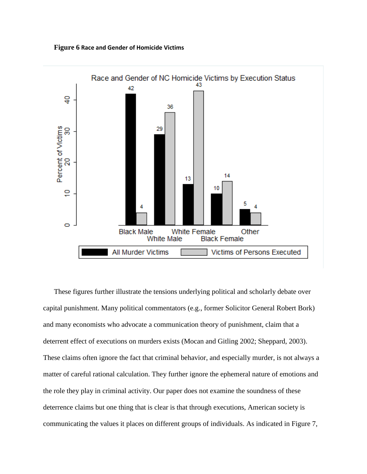**Figure 6 Race and Gender of Homicide Victims**



These figures further illustrate the tensions underlying political and scholarly debate over capital punishment. Many political commentators (e.g., former Solicitor General Robert Bork) and many economists who advocate a communication theory of punishment, claim that a deterrent effect of executions on murders exists (Mocan and Gitling 2002; Sheppard, 2003). These claims often ignore the fact that criminal behavior, and especially murder, is not always a matter of careful rational calculation. They further ignore the ephemeral nature of emotions and the role they play in criminal activity. Our paper does not examine the soundness of these deterrence claims but one thing that is clear is that through executions, American society is communicating the values it places on different groups of individuals. As indicated in Figure 7,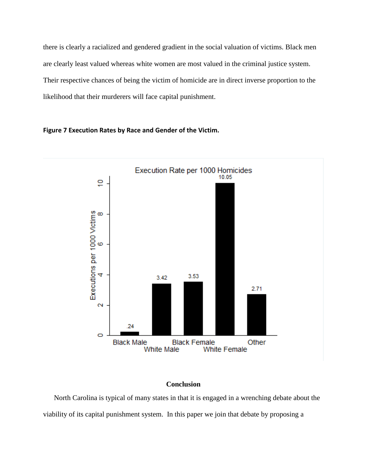there is clearly a racialized and gendered gradient in the social valuation of victims. Black men are clearly least valued whereas white women are most valued in the criminal justice system. Their respective chances of being the victim of homicide are in direct inverse proportion to the likelihood that their murderers will face capital punishment.

# Execution Rate per 1000 Homicides 10.05 ē Executions per 1000 Victims<br>4<br>6 3.53 3.42 2.71  $\overline{\mathbf{N}}$  $.24$ Ō **Black Male Black Female** Other **White Male White Female**

## **Figure 7 Execution Rates by Race and Gender of the Victim.**

# **Conclusion**

North Carolina is typical of many states in that it is engaged in a wrenching debate about the viability of its capital punishment system. In this paper we join that debate by proposing a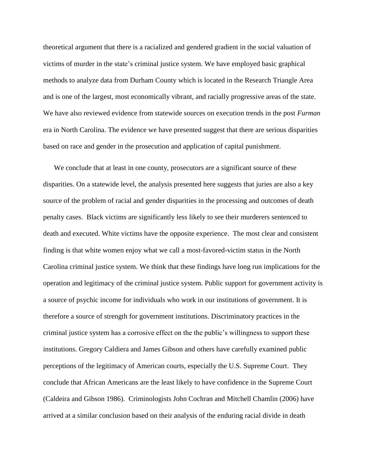theoretical argument that there is a racialized and gendered gradient in the social valuation of victims of murder in the state's criminal justice system. We have employed basic graphical methods to analyze data from Durham County which is located in the Research Triangle Area and is one of the largest, most economically vibrant, and racially progressive areas of the state. We have also reviewed evidence from statewide sources on execution trends in the post *Furman* era in North Carolina. The evidence we have presented suggest that there are serious disparities based on race and gender in the prosecution and application of capital punishment.

We conclude that at least in one county, prosecutors are a significant source of these disparities. On a statewide level, the analysis presented here suggests that juries are also a key source of the problem of racial and gender disparities in the processing and outcomes of death penalty cases. Black victims are significantly less likely to see their murderers sentenced to death and executed. White victims have the opposite experience. The most clear and consistent finding is that white women enjoy what we call a most-favored-victim status in the North Carolina criminal justice system. We think that these findings have long run implications for the operation and legitimacy of the criminal justice system. Public support for government activity is a source of psychic income for individuals who work in our institutions of government. It is therefore a source of strength for government institutions. Discriminatory practices in the criminal justice system has a corrosive effect on the the public's willingness to support these institutions. Gregory Caldiera and James Gibson and others have carefully examined public perceptions of the legitimacy of American courts, especially the U.S. Supreme Court. They conclude that African Americans are the least likely to have confidence in the Supreme Court (Caldeira and Gibson 1986). Criminologists John Cochran and Mitchell Chamlin (2006) have arrived at a similar conclusion based on their analysis of the enduring racial divide in death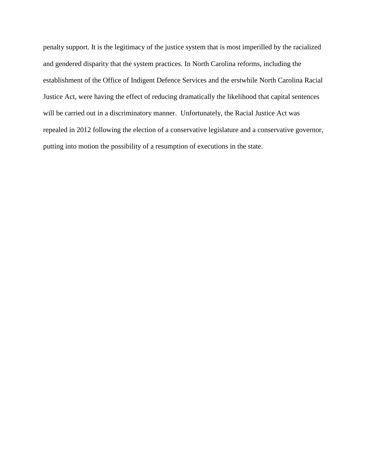penalty support. It is the legitimacy of the justice system that is most imperilled by the racialized and gendered disparity that the system practices. In North Carolina reforms, including the establishment of the Office of Indigent Defence Services and the erstwhile North Carolina Racial Justice Act, were having the effect of reducing dramatically the likelihood that capital sentences will be carried out in a discriminatory manner. Unfortunately, the Racial Justice Act was repealed in 2012 following the election of a conservative legislature and a conservative governor, putting into motion the possibility of a resumption of executions in the state.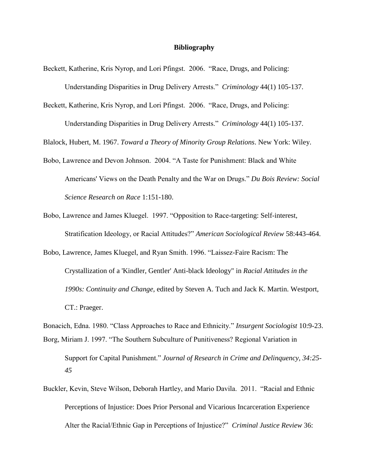#### **Bibliography**

Beckett, Katherine, Kris Nyrop, and Lori Pfingst. 2006. "Race, Drugs, and Policing:

Understanding Disparities in Drug Delivery Arrests." *Criminology* 44(1) 105-137.

Beckett, Katherine, Kris Nyrop, and Lori Pfingst. 2006. "Race, Drugs, and Policing:

Understanding Disparities in Drug Delivery Arrests." *Criminology* 44(1) 105-137.

Blalock, Hubert, M. 1967. *Toward a Theory of Minority Group Relations*. New York: Wiley.

- Bobo, Lawrence and Devon Johnson. 2004. "A Taste for Punishment: Black and White Americans' Views on the Death Penalty and the War on Drugs." *Du Bois Review: Social Science Research on Race* 1:151-180.
- Bobo, Lawrence and James Kluegel. 1997. "Opposition to Race-targeting: Self-interest, Stratification Ideology, or Racial Attitudes?" *American Sociological Review* 58:443-464.
- Bobo, Lawrence, James Kluegel, and Ryan Smith. 1996. "Laissez-Faire Racism: The Crystallization of a 'Kindler, Gentler' Anti-black Ideology" in *Racial Attitudes in the 1990s: Continuity and Change,* edited by Steven A. Tuch and Jack K. Martin. Westport, CT.: Praeger.
- Bonacich, Edna. 1980. "Class Approaches to Race and Ethnicity." *Insurgent Sociologist* 10:9-23. Borg, Miriam J. 1997. "The Southern Subculture of Punitiveness? Regional Variation in

Buckler, Kevin, Steve Wilson, Deborah Hartley, and Mario Davila. 2011. "Racial and Ethnic Perceptions of Injustice: Does Prior Personal and Vicarious Incarceration Experience Alter the Racial/Ethnic Gap in Perceptions of Injustice?" *Criminal Justice Review* 36:

Support for Capital Punishment." *Journal of Research in Crime and Delinquency, 34:25- 45*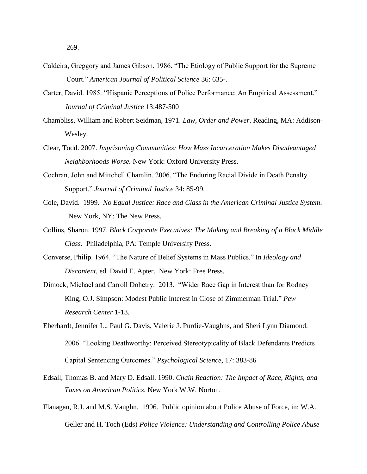269.

- Caldeira, Greggory and James Gibson. 1986. "The Etiology of Public Support for the Supreme Court." *American Journal of Political Science* 36: 635-.
- Carter, David. 1985. "Hispanic Perceptions of Police Performance: An Empirical Assessment." *Journal of Criminal Justice* 13:487-500
- Chambliss, William and Robert Seidman, 1971. *Law, Order and Power*. Reading, MA: Addison-Wesley.
- Clear, Todd. 2007. *Imprisoning Communities: How Mass Incarceration Makes Disadvantaged Neighborhoods Worse.* New York: Oxford University Press.
- Cochran, John and Mittchell Chamlin. 2006. "The Enduring Racial Divide in Death Penalty Support." *Journal of Criminal Justice* 34: 85-99.
- Cole, David. 1999. *No Equal Justice: Race and Class in the American Criminal Justice System*. New York, NY: The New Press.
- Collins, Sharon. 1997. *Black Corporate Executives: The Making and Breaking of a Black Middle Class*. Philadelphia, PA: Temple University Press.
- Converse, Philip. 1964. "The Nature of Belief Systems in Mass Publics." In *Ideology and Discontent,* ed. David E. Apter. New York: Free Press.
- Dimock, Michael and Carroll Dohetry. 2013. "Wider Race Gap in Interest than for Rodney King, O.J. Simpson: Modest Public Interest in Close of Zimmerman Trial." *Pew Research Center* 1-13.
- Eberhardt, Jennifer L., Paul G. Davis, Valerie J. Purdie-Vaughns, and Sheri Lynn Diamond. 2006. "Looking Deathworthy: Perceived Stereotypicality of Black Defendants Predicts Capital Sentencing Outcomes." *Psychological Science,* 17: 383-86
- Edsall, Thomas B. and Mary D. Edsall. 1990. *Chain Reaction: The Impact of Race, Rights, and Taxes on American Politics.* New York W.W. Norton.
- Flanagan, R.J. and M.S. Vaughn. 1996. Public opinion about Police Abuse of Force, in: W.A. Geller and H. Toch (Eds) *Police Violence: Understanding and Controlling Police Abuse*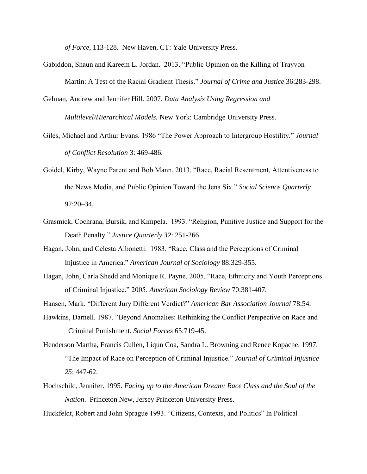*of Force*, 113-128. New Haven, CT: Yale University Press.

Gabiddon, Shaun and Kareem L. Jordan. 2013. "Public Opinion on the Killing of Trayvon Martin: A Test of the Racial Gradient Thesis." *Journal of Crime and Justice* 36:283-298.

Gelman, Andrew and Jennifer Hill. 2007. *Data Analysis Using Regression and* 

*Multilevel/Hierarchical Models.* New York: Cambridge University Press.

- Giles, Michael and Arthur Evans. 1986 "The Power Approach to Intergroup Hostility." *Journal of Conflict Resolution* 3: 469-486.
- Goidel, Kirby, Wayne Parent and Bob Mann. 2013. "Race, Racial Resentment, Attentiveness to the News Media, and Public Opinion Toward the Jena Six." *Social Science Quarterly* 92:20–34.
- Grasmick, Cochrana, Bursik, and Kimpela. 1993. "Religion, Punitive Justice and Support for the Death Penalty." *Justice Quarterly 32*: 251-266
- Hagan, John, and Celesta Albonetti. 1983. "Race, Class and the Perceptions of Criminal Injustice in America." *American Journal of Sociology* 88:329-355.
- Hagan, John, Carla Shedd and Monique R. Payne. 2005. "Race, Ethnicity and Youth Perceptions of Criminal Injustice." 2005. *American Sociology Review* 70:381-407.
- Hansen, Mark. "Different Jury Different Verdict?" *American Bar Association Journal* 78:54.
- Hawkins, Darnell. 1987. "Beyond Anomalies: Rethinking the Conflict Perspective on Race and Criminal Punishment. *Social Forces* 65:719-45.
- Henderson Martha, Francis Cullen, Liqun Coa, Sandra L. Browning and Renee Kopache. 1997. "The Impact of Race on Perception of Criminal Injustice." *Journal of Criminal Injustice 25*: 447-62.
- Hochschild, Jennifer. 1995. *Facing up to the American Dream: Race Class and the Soul of the Nation*. Princeton New, Jersey Princeton University Press.

Huckfeldt, Robert and John Sprague 1993. "Citizens, Contexts, and Politics" In Political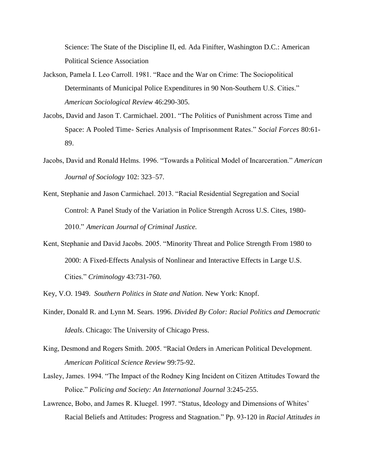Science: The State of the Discipline II, ed. Ada Finifter, Washington D.C.: American Political Science Association

- Jackson, Pamela I. Leo Carroll. 1981. "Race and the War on Crime: The Sociopolitical Determinants of Municipal Police Expenditures in 90 Non-Southern U.S. Cities." *American Sociological Review* 46:290-305.
- Jacobs, David and Jason T. Carmichael. 2001. "The Politics of Punishment across Time and Space: A Pooled Time- Series Analysis of Imprisonment Rates." *Social Forces* 80:61- 89.
- Jacobs, David and Ronald Helms. 1996. "Towards a Political Model of Incarceration." *American Journal of Sociology* 102: 323–57.
- Kent, Stephanie and Jason Carmichael. 2013. "Racial Residential Segregation and Social Control: A Panel Study of the Variation in Police Strength Across U.S. Cites, 1980- 2010." *American Journal of Criminal Justice.*
- Kent, Stephanie and David Jacobs. 2005. "Minority Threat and Police Strength From 1980 to 2000: A Fixed-Effects Analysis of Nonlinear and Interactive Effects in Large U.S. Cities." *Criminology* 43:731-760.

Key, V.O. 1949. *Southern Politics in State and Nation*. New York: Knopf.

- Kinder, Donald R. and Lynn M. Sears. 1996. *Divided By Color: Racial Politics and Democratic Ideals*. Chicago: The University of Chicago Press.
- King, Desmond and Rogers Smith. 2005. "Racial Orders in American Political Development. *American Political Science Review* 99:75-92.
- Lasley, James. 1994. "The Impact of the Rodney King Incident on Citizen Attitudes Toward the Police." *Policing and Society: An International Journal* 3:245-255.
- Lawrence, Bobo, and James R. Kluegel. 1997. "Status, Ideology and Dimensions of Whites' Racial Beliefs and Attitudes: Progress and Stagnatio[n."](http://www.wjh.harvard.edu/soc/faculty/bobo/pdf%20documents/StatIdgy.pdf) Pp. 93-120 in *Racial Attitudes in*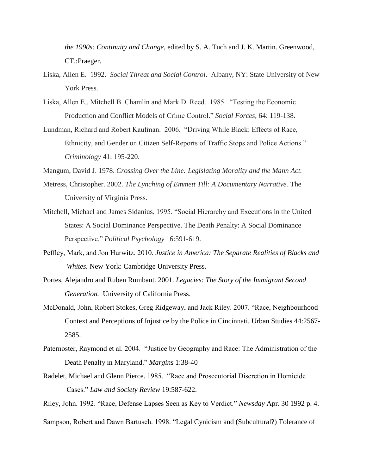*the 1990s: Continuity and Change*, edited by S. A. Tuch and J. K. Martin. Greenwood, CT.:Praeger.

- Liska, Allen E. 1992. *Social Threat and Social Control*. Albany, NY: State University of New York Press.
- Liska, Allen E., Mitchell B. Chamlin and Mark D. Reed. 1985. "Testing the Economic Production and Conflict Models of Crime Control." *Social Forces*, 64: 119-138.
- Lundman, Richard and Robert Kaufman. 2006. "Driving While Black: Effects of Race, Ethnicity, and Gender on Citizen Self-Reports of Traffic Stops and Police Actions." *Criminology* 41: 195-220.

Mangum, David J. 1978. *Crossing Over the Line: Legislating Morality and the Mann Act.*

- Metress, Christopher. 2002. *The Lynching of Emmett Till: A Documentary Narrative.* The University of Virginia Press.
- Mitchell, Michael and James Sidanius, 1995. "Social Hierarchy and Executions in the United States: A Social Dominance Perspective. The Death Penalty: A Social Dominance Perspective." *Political Psychology* 16:591-619.
- Peffley, Mark, and Jon Hurwitz. 2010. *Justice in America: The Separate Realities of Blacks and Whites.* New York: Cambridge University Press.
- Portes, Alejandro and Ruben Rumbaut. 2001. *Legacies: The Story of the Immigrant Second Generation.* University of California Press.
- McDonald, John, Robert Stokes, Greg Ridgeway, and Jack Riley. 2007. "Race, Neighbourhood Context and Perceptions of Injustice by the Police in Cincinnati. Urban Studies 44:2567- 2585.
- Paternoster, Raymond et al. 2004. "Justice by Geography and Race: The Administration of the Death Penalty in Maryland." *Margins* 1:38-40
- Radelet, Michael and Glenn Pierce. 1985. "Race and Prosecutorial Discretion in Homicide Cases." *Law and Society Review* 19:587-622.
- Riley, John. 1992. "Race, Defense Lapses Seen as Key to Verdict." *Newsday* Apr. 30 1992 p. 4.
- Sampson, Robert and Dawn Bartusch. 1998. "Legal Cynicism and (Subcultural?) Tolerance of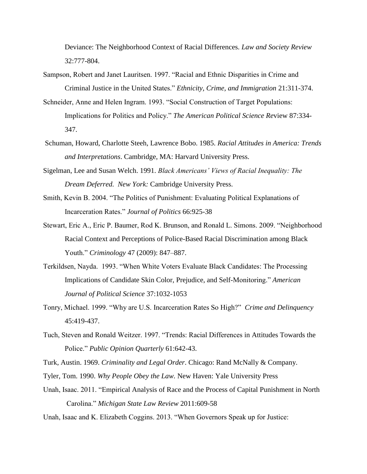Deviance: The Neighborhood Context of Racial Differences. *Law and Society Review* 32:777-804.

- Sampson, Robert and Janet Lauritsen. 1997. "Racial and Ethnic Disparities in Crime and Criminal Justice in the United States." *Ethnicity, Crime, and Immigration* 21:311-374.
- Schneider, Anne and Helen Ingram. 1993. "Social Construction of Target Populations: Implications for Politics and Policy." *The American Political Science Re*view 87:334- 347.
- Schuman, Howard, Charlotte Steeh, Lawrence Bobo. 1985. *Racial Attitudes in America: Trends and Interpretations*. Cambridge, MA: Harvard University Press.
- Sigelman, Lee and Susan Welch. 1991. *Black Americans' Views of Racial Inequality: The Dream Deferred. New York:* Cambridge University Press.
- Smith, Kevin B. 2004. "The Politics of Punishment: Evaluating Political Explanations of Incarceration Rates." *Journal of Politics* 66:925-38
- Stewart, Eric A., Eric P. Baumer, Rod K. Brunson, and Ronald L. Simons. 2009. "Neighborhood Racial Context and Perceptions of Police-Based Racial Discrimination among Black Youth." *Criminology* 47 (2009): 847–887.
- Terkildsen, Nayda. 1993. "When White Voters Evaluate Black Candidates: The Processing Implications of Candidate Skin Color, Prejudice, and Self-Monitoring." *American Journal of Political Science* 37:1032-1053
- Tonry, Michael. 1999. "Why are U.S. Incarceration Rates So High?" *Crime and Delinquency* 45:419-437.
- Tuch, Steven and Ronald Weitzer. 1997. "Trends: Racial Differences in Attitudes Towards the Police." *Public Opinion Quarterly* 61:642-43.

Turk, Austin. 1969. *Criminality and Legal Order*. Chicago: Rand McNally & Company.

- Tyler, Tom. 1990. *Why People Obey the Law.* New Haven: Yale University Press
- Unah, Isaac. 2011. "Empirical Analysis of Race and the Process of Capital Punishment in North Carolina." *Michigan State Law Review* 2011:609-58
- Unah, Isaac and K. Elizabeth Coggins. 2013. "When Governors Speak up for Justice: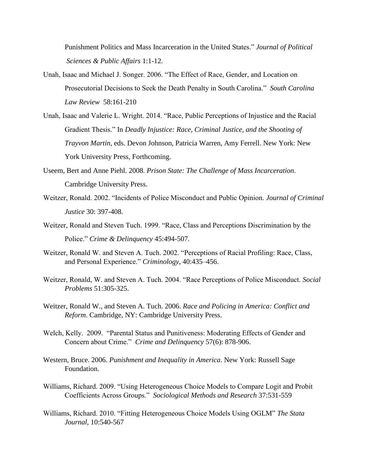Punishment Politics and Mass Incarceration in the United States." *Journal of Political Sciences & Public Affairs* 1:1-12.

- Unah, Isaac and Michael J. Songer. 2006. "The Effect of Race, Gender, and Location on Prosecutorial Decisions to Seek the Death Penalty in South Carolina." *South Carolina Law Review* 58:161-210
- Unah, Isaac and Valerie L. Wright. 2014. "Race, Public Perceptions of Injustice and the Racial Gradient Thesis." In *Deadly Injustice: Race, Criminal Justice, and the Shooting of Trayvon Martin,* eds. Devon Johnson, Patricia Warren, Amy Ferrell. New York: New York University Press, Forthcoming.
- Useem, Bert and Anne Piehl. 2008. *Prison State: The Challenge of Mass Incarceration*. Cambridge University Press.
- Weitzer, Ronald. 2002. "Incidents of Police Misconduct and Public Opinion. *Journal of Criminal Justice* 30: 397-408.
- Weitzer, Ronald and Steven Tuch. 1999. "Race, Class and Perceptions Discrimination by the Police." *Crime & Delinquency* 45:494-507.
- Weitzer, Ronald W. and Steven A. Tuch. 2002. "Perceptions of Racial Profiling: Race, Class, and Personal Experience." *Criminology*, 40:435–456.
- Weitzer, Ronald, W. and Steven A. Tuch. 2004. "Race Perceptions of Police Misconduct. *Social Problems* 51:305-325.
- Weitzer, Ronald W., and Steven A. Tuch. 2006. *Race and Policing in America: Conflict and Reform*. Cambridge, NY: Cambridge University Press.
- Welch, Kelly. 2009. "Parental Status and Punitiveness: Moderating Effects of Gender and Concern about Crime." *Crime and Delinquency* 57(6): 878-906.
- Western, Bruce. 2006. *Punishment and Inequality in America*. New York: Russell Sage Foundation.
- Williams, Richard. 2009. "Using Heterogeneous Choice Models to Compare Logit and Probit Coefficients Across Groups." *Sociological Methods and Research* 37:531-559
- Williams, Richard. 2010. "Fitting Heterogeneous Choice Models Using OGLM" *The Stata Journal,* 10:540-567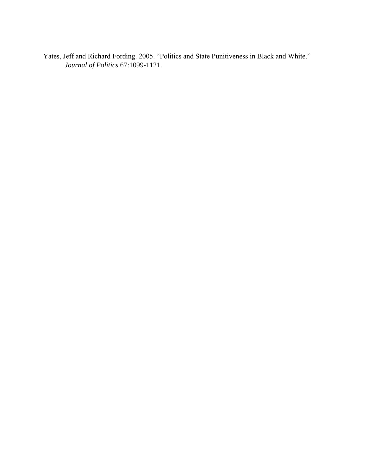Yates, Jeff and Richard Fording. 2005. "Politics and State Punitiveness in Black and White." *Journal of Politics* 67:1099-1121.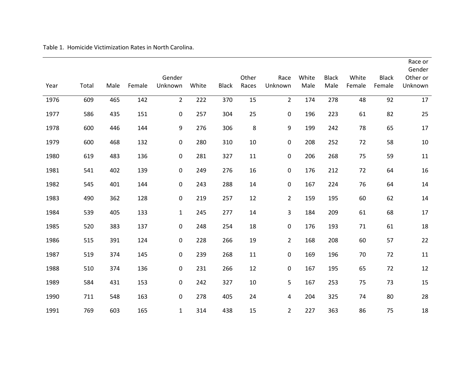Table 1. Homicide Victimization Rates in North Carolina.

| Year | Total | Male | Female | Gender<br>Unknown | White | <b>Black</b> | Other<br>Races | Race<br>Unknown | White<br>Male | <b>Black</b><br>Male | White<br>Female | <b>Black</b><br>Female | Race or<br>Gender<br>Other or<br>Unknown |
|------|-------|------|--------|-------------------|-------|--------------|----------------|-----------------|---------------|----------------------|-----------------|------------------------|------------------------------------------|
| 1976 | 609   | 465  | 142    | $\overline{2}$    | 222   | 370          | 15             | $\overline{2}$  | 174           | 278                  | 48              | 92                     | 17                                       |
| 1977 | 586   | 435  | 151    | $\mathbf 0$       | 257   | 304          | 25             | 0               | 196           | 223                  | 61              | 82                     | 25                                       |
| 1978 | 600   | 446  | 144    | $9\,$             | 276   | 306          | 8              | 9               | 199           | 242                  | 78              | 65                     | 17                                       |
| 1979 | 600   | 468  | 132    | $\boldsymbol{0}$  | 280   | 310          | 10             | 0               | 208           | 252                  | 72              | 58                     | $10\,$                                   |
| 1980 | 619   | 483  | 136    | $\boldsymbol{0}$  | 281   | 327          | 11             | 0               | 206           | 268                  | 75              | 59                     | 11                                       |
| 1981 | 541   | 402  | 139    | $\pmb{0}$         | 249   | 276          | 16             | 0               | 176           | 212                  | 72              | 64                     | 16                                       |
| 1982 | 545   | 401  | 144    | $\mathbf 0$       | 243   | 288          | 14             | $\pmb{0}$       | 167           | 224                  | 76              | 64                     | $14\,$                                   |
| 1983 | 490   | 362  | 128    | $\boldsymbol{0}$  | 219   | 257          | 12             | $\overline{2}$  | 159           | 195                  | 60              | 62                     | 14                                       |
| 1984 | 539   | 405  | 133    | $\mathbf{1}$      | 245   | 277          | 14             | 3               | 184           | 209                  | 61              | 68                     | 17                                       |
| 1985 | 520   | 383  | 137    | $\mathbf 0$       | 248   | 254          | 18             | 0               | 176           | 193                  | 71              | 61                     | 18                                       |
| 1986 | 515   | 391  | 124    | $\mathbf 0$       | 228   | 266          | 19             | $\overline{2}$  | 168           | 208                  | 60              | 57                     | 22                                       |
| 1987 | 519   | 374  | 145    | $\mathbf 0$       | 239   | 268          | 11             | 0               | 169           | 196                  | 70              | 72                     | 11                                       |
| 1988 | 510   | 374  | 136    | $\pmb{0}$         | 231   | 266          | 12             | $\pmb{0}$       | 167           | 195                  | 65              | 72                     | 12                                       |
| 1989 | 584   | 431  | 153    | 0                 | 242   | 327          | 10             | 5               | 167           | 253                  | 75              | 73                     | 15                                       |
| 1990 | 711   | 548  | 163    | $\pmb{0}$         | 278   | 405          | 24             | 4               | 204           | 325                  | 74              | 80                     | 28                                       |
| 1991 | 769   | 603  | 165    | $\mathbf{1}$      | 314   | 438          | 15             | $\overline{2}$  | 227           | 363                  | 86              | 75                     | 18                                       |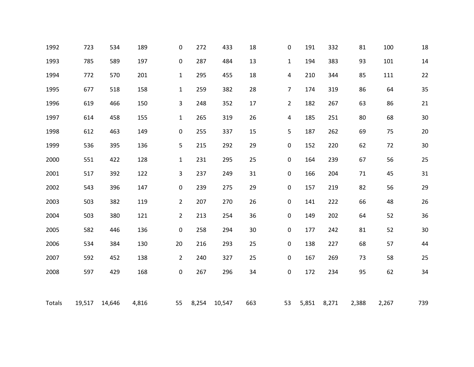| 1992   | 723    | 534    | 189   | 0                | 272   | 433    | 18  | 0              | 191   | 332   | 81    | 100   | 18     |
|--------|--------|--------|-------|------------------|-------|--------|-----|----------------|-------|-------|-------|-------|--------|
| 1993   | 785    | 589    | 197   | $\boldsymbol{0}$ | 287   | 484    | 13  | $\mathbf{1}$   | 194   | 383   | 93    | 101   | 14     |
| 1994   | 772    | 570    | 201   | $\mathbf{1}$     | 295   | 455    | 18  | 4              | 210   | 344   | 85    | 111   | 22     |
| 1995   | 677    | 518    | 158   | $\mathbf{1}$     | 259   | 382    | 28  | $\overline{7}$ | 174   | 319   | 86    | 64    | 35     |
| 1996   | 619    | 466    | 150   | 3                | 248   | 352    | 17  | $\overline{2}$ | 182   | 267   | 63    | 86    | 21     |
| 1997   | 614    | 458    | 155   | $\mathbf{1}$     | 265   | 319    | 26  | 4              | 185   | 251   | 80    | 68    | 30     |
| 1998   | 612    | 463    | 149   | $\boldsymbol{0}$ | 255   | 337    | 15  | 5              | 187   | 262   | 69    | 75    | $20\,$ |
| 1999   | 536    | 395    | 136   | 5                | 215   | 292    | 29  | 0              | 152   | 220   | 62    | 72    | $30\,$ |
| 2000   | 551    | 422    | 128   | $\mathbf{1}$     | 231   | 295    | 25  | 0              | 164   | 239   | 67    | 56    | 25     |
| 2001   | 517    | 392    | 122   | 3                | 237   | 249    | 31  | 0              | 166   | 204   | 71    | 45    | 31     |
| 2002   | 543    | 396    | 147   | $\boldsymbol{0}$ | 239   | 275    | 29  | 0              | 157   | 219   | 82    | 56    | 29     |
| 2003   | 503    | 382    | 119   | $\overline{2}$   | 207   | 270    | 26  | 0              | 141   | 222   | 66    | 48    | 26     |
| 2004   | 503    | 380    | 121   | $\overline{2}$   | 213   | 254    | 36  | 0              | 149   | 202   | 64    | 52    | 36     |
| 2005   | 582    | 446    | 136   | $\boldsymbol{0}$ | 258   | 294    | 30  | 0              | 177   | 242   | 81    | 52    | 30     |
| 2006   | 534    | 384    | 130   | 20               | 216   | 293    | 25  | 0              | 138   | 227   | 68    | 57    | 44     |
| 2007   | 592    | 452    | 138   | $\overline{2}$   | 240   | 327    | 25  | 0              | 167   | 269   | 73    | 58    | 25     |
| 2008   | 597    | 429    | 168   | $\boldsymbol{0}$ | 267   | 296    | 34  | 0              | 172   | 234   | 95    | 62    | 34     |
|        |        |        |       |                  |       |        |     |                |       |       |       |       |        |
| Totals | 19,517 | 14,646 | 4,816 | 55               | 8,254 | 10,547 | 663 | 53             | 5,851 | 8,271 | 2,388 | 2,267 | 739    |